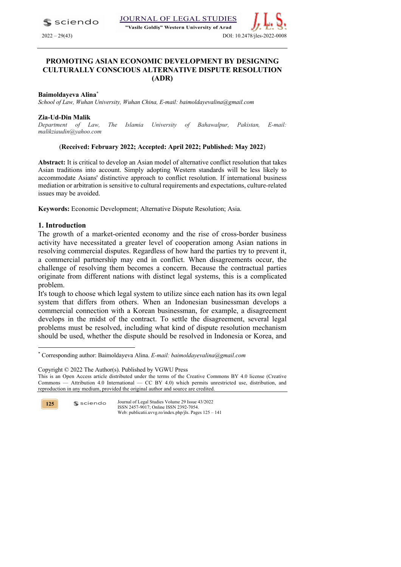$\blacktriangle$  sciendo

"Vasile Goldis" Western University of Arad



### **PROMOTING ASIAN ECONOMIC DEVELOPMENT BY DESIGNING CULTURALLY CONSCIOUS ALTERNATIVE DISPUTE RESOLUTION (ADR)**

### **Baimoldayeva Alina\***

*School of Law, Wuhan University, Wuhan China, E-mail: baimoldayevalina@gmail.com*

#### **Zia-Ud-Din Malik**

*Department of Law, The Islamia University of Bahawalpur, Pakistan, E-mail: malikziaudin@yahoo.com*

### (**Received: February 2022; Accepted: April 2022; Published: May 2022**)

**Abstract:** It is critical to develop an Asian model of alternative conflict resolution that takes Asian traditions into account. Simply adopting Western standards will be less likely to accommodate Asians' distinctive approach to conflict resolution. If international business mediation or arbitration is sensitive to cultural requirements and expectations, culture-related issues may be avoided.

**Keywords:** Economic Development; Alternative Dispute Resolution; Asia.

### **1. Introduction**

The growth of a market-oriented economy and the rise of cross-border business activity have necessitated a greater level of cooperation among Asian nations in resolving commercial disputes. Regardless of how hard the parties try to prevent it, a commercial partnership may end in conflict. When disagreements occur, the challenge of resolving them becomes a concern. Because the contractual parties originate from different nations with distinct legal systems, this is a complicated problem.

It's tough to choose which legal system to utilize since each nation has its own legal system that differs from others. When an Indonesian businessman develops a commercial connection with a Korean businessman, for example, a disagreement develops in the midst of the contract. To settle the disagreement, several legal problems must be resolved, including what kind of dispute resolution mechanism should be used, whether the dispute should be resolved in Indonesia or Korea, and

Copyright © 2022 The Author(s). Published by VGWU Press

**125**

<sup>\*</sup> Corresponding author: Baimoldayeva Alina. *E-mail: baimoldayevalina@gmail.com*

This is an Open Access article distributed under the terms of the Creative Commons BY 4.0 license (Creative Commons — Attribution 4.0 International — CC BY 4.0) which permits unrestricted use, distribution, and reproduction in any medium, provided the original author and source are credited.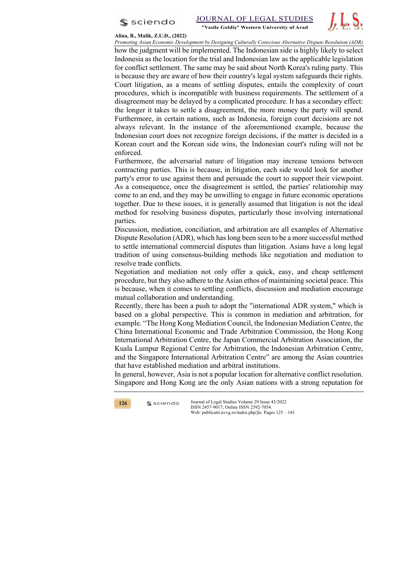



#### **Alina, B., Malik, Z.U.D., (2022)**

*Promoting Asian Economic Development by Designing Culturally Conscious Alternative Dispute Resolution (ADR)* how the judgment will be implemented. The Indonesian side is highly likely to select Indonesia as the location for the trial and Indonesian law as the applicable legislation for conflict settlement. The same may be said about North Korea's ruling party. This is because they are aware of how their country's legal system safeguards their rights. Court litigation, as a means of settling disputes, entails the complexity of court procedures, which is incompatible with business requirements. The settlement of a disagreement may be delayed by a complicated procedure. It has a secondary effect: the longer it takes to settle a disagreement, the more money the party will spend. Furthermore, in certain nations, such as Indonesia, foreign court decisions are not always relevant. In the instance of the aforementioned example, because the Indonesian court does not recognize foreign decisions, if the matter is decided in a Korean court and the Korean side wins, the Indonesian court's ruling will not be enforced.

Furthermore, the adversarial nature of litigation may increase tensions between contracting parties. This is because, in litigation, each side would look for another party's error to use against them and persuade the court to support their viewpoint. As a consequence, once the disagreement is settled, the parties' relationship may come to an end, and they may be unwilling to engage in future economic operations together. Due to these issues, it is generally assumed that litigation is not the ideal method for resolving business disputes, particularly those involving international parties.

Discussion, mediation, conciliation, and arbitration are all examples of Alternative Dispute Resolution (ADR), which has long been seen to be a more successful method to settle international commercial disputes than litigation. Asians have a long legal tradition of using consensus-building methods like negotiation and mediation to resolve trade conflicts.

Negotiation and mediation not only offer a quick, easy, and cheap settlement procedure, but they also adhere to the Asian ethos of maintaining societal peace. This is because, when it comes to settling conflicts, discussion and mediation encourage mutual collaboration and understanding.

Recently, there has been a push to adopt the "international ADR system," which is based on a global perspective. This is common in mediation and arbitration, for example. "The Hong Kong Mediation Council, the Indonesian Mediation Centre, the China International Economic and Trade Arbitration Commission, the Hong Kong International Arbitration Centre, the Japan Commercial Arbitration Association, the Kuala Lumpur Regional Centre for Arbitration, the Indonesian Arbitration Centre, and the Singapore International Arbitration Centre" are among the Asian countries that have established mediation and arbitral institutions.

In general, however, Asia is not a popular location for alternative conflict resolution. Singapore and Hong Kong are the only Asian nations with a strong reputation for



 $s$  sciendo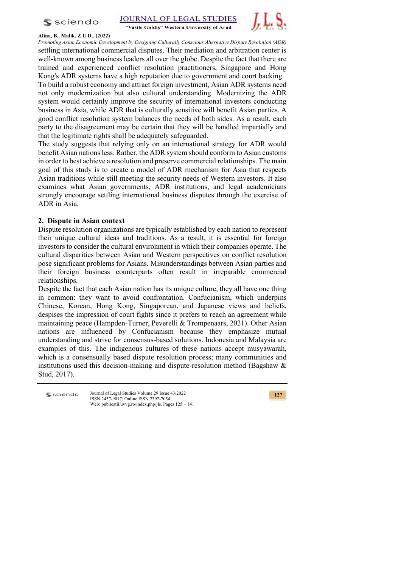

JOURNAL OF LEGAL STUDIES



"Vasile Goldis" Western University of Arad

**Alina, B., Malik, Z.U.D., (2022)**

*Promoting Asian Economic Development by Designing Culturally Conscious Alternative Dispute Resolution (ADR)*  settling international commercial disputes. Their mediation and arbitration center is well-known among business leaders all over the globe. Despite the fact that there are trained and experienced conflict resolution practitioners, Singapore and Hong Kong's ADR systems have a high reputation due to government and court backing. To build a robust economy and attract foreign investment, Asian ADR systems need not only modernization but also cultural understanding. Modernizing the ADR system would certainly improve the security of international investors conducting business in Asia, while ADR that is culturally sensitive will benefit Asian parties. A good conflict resolution system balances the needs of both sides. As a result, each party to the disagreement may be certain that they will be handled impartially and that the legitimate rights shall be adequately safeguarded.

The study suggests that relying only on an international strategy for ADR would benefit Asian nations less. Rather, the ADR system should conform to Asian customs in order to best achieve a resolution and preserve commercial relationships. The main goal of this study is to create a model of ADR mechanism for Asia that respects Asian traditions while still meeting the security needs of Western investors. It also examines what Asian governments, ADR institutions, and legal academicians strongly encourage settling international business disputes through the exercise of ADR in Asia.

# **2. Dispute in Asian context**

Dispute resolution organizations are typically established by each nation to represent their unique cultural ideas and traditions. As a result, it is essential for foreign investors to consider the cultural environment in which their companies operate. The cultural disparities between Asian and Western perspectives on conflict resolution pose significant problems for Asians. Misunderstandings between Asian parties and their foreign business counterparts often result in irreparable commercial relationships.

Despite the fact that each Asian nation has its unique culture, they all have one thing in common: they want to avoid confrontation. Confucianism, which underpins Chinese, Korean, Hong Kong, Singaporean, and Japanese views and beliefs, despises the impression of court fights since it prefers to reach an agreement while maintaining peace (Hampden-Turner, Peverelli & Trompenaars, 2021). Other Asian nations are influenced by Confucianism because they emphasize mutual understanding and strive for consensus-based solutions. Indonesia and Malaysia are examples of this. The indigenous cultures of these nations accept musyawarah, which is a consensually based dispute resolution process; many communities and institutions used this decision-making and dispute-resolution method (Bagshaw  $\&$ Stud, 2017).

Journal of Legal Studies Volume 29 Issue 43/2022 **S** sciendo ISSN 2457-9017; Online ISSN 2392-7054. Web: publicatii.uvvg.ro/index.php/jls. Pages 125 – 141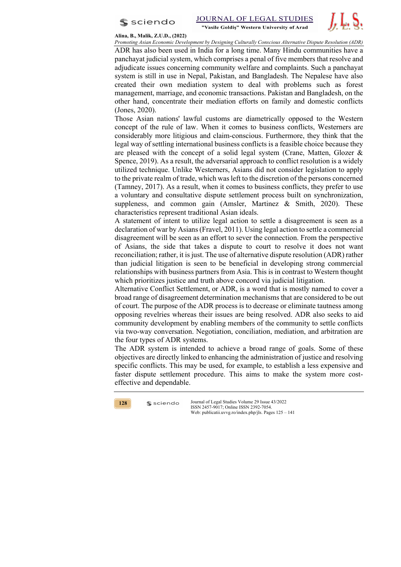

#### **Alina, B., Malik, Z.U.D., (2022)**

*Promoting Asian Economic Development by Designing Culturally Conscious Alternative Dispute Resolution (ADR)*

ADR has also been used in India for a long time. Many Hindu communities have a panchayat judicial system, which comprises a penal of five members that resolve and adjudicate issues concerning community welfare and complaints. Such a panchayat system is still in use in Nepal, Pakistan, and Bangladesh. The Nepalese have also created their own mediation system to deal with problems such as forest management, marriage, and economic transactions. Pakistan and Bangladesh, on the other hand, concentrate their mediation efforts on family and domestic conflicts (Jones, 2020).

Those Asian nations' lawful customs are diametrically opposed to the Western concept of the rule of law. When it comes to business conflicts, Westerners are considerably more litigious and claim-conscious. Furthermore, they think that the legal way of settling international business conflicts is a feasible choice because they are pleased with the concept of a solid legal system (Crane, Matten, Glozer & Spence, 2019). As a result, the adversarial approach to conflict resolution is a widely utilized technique. Unlike Westerners, Asians did not consider legislation to apply to the private realm of trade, which was left to the discretion of the persons concerned (Tamney, 2017). As a result, when it comes to business conflicts, they prefer to use a voluntary and consultative dispute settlement process built on synchronization, suppleness, and common gain (Amsler, Martinez & Smith, 2020). These characteristics represent traditional Asian ideals.

A statement of intent to utilize legal action to settle a disagreement is seen as a declaration of war by Asians (Fravel, 2011). Using legal action to settle a commercial disagreement will be seen as an effort to sever the connection. From the perspective of Asians, the side that takes a dispute to court to resolve it does not want reconciliation; rather, it is just. The use of alternative dispute resolution (ADR) rather than judicial litigation is seen to be beneficial in developing strong commercial relationships with business partners from Asia. This is in contrast to Western thought which prioritizes justice and truth above concord via judicial litigation.

Alternative Conflict Settlement, or ADR, is a word that is mostly named to cover a broad range of disagreement determination mechanisms that are considered to be out of court. The purpose of the ADR process is to decrease or eliminate tautness among opposing revelries whereas their issues are being resolved. ADR also seeks to aid community development by enabling members of the community to settle conflicts via two-way conversation. Negotiation, conciliation, mediation, and arbitration are the four types of ADR systems.

The ADR system is intended to achieve a broad range of goals. Some of these objectives are directly linked to enhancing the administration of justice and resolving specific conflicts. This may be used, for example, to establish a less expensive and faster dispute settlement procedure. This aims to make the system more costeffective and dependable.

**128**

 $s$  sciendo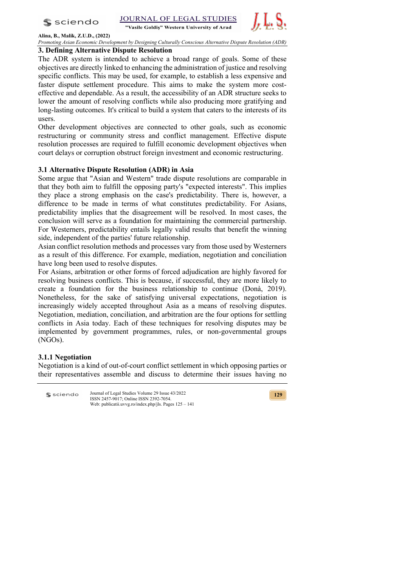

JOURNAL OF LEGAL STUDIES

"Vasile Goldis" Western University of Arad



**Alina, B., Malik, Z.U.D., (2022)** *Promoting Asian Economic Development by Designing Culturally Conscious Alternative Dispute Resolution (ADR)* 

### **3. Defining Alternative Dispute Resolution**

The ADR system is intended to achieve a broad range of goals. Some of these objectives are directly linked to enhancing the administration of justice and resolving specific conflicts. This may be used, for example, to establish a less expensive and faster dispute settlement procedure. This aims to make the system more costeffective and dependable. As a result, the accessibility of an ADR structure seeks to lower the amount of resolving conflicts while also producing more gratifying and long-lasting outcomes. It's critical to build a system that caters to the interests of its users.

Other development objectives are connected to other goals, such as economic restructuring or community stress and conflict management. Effective dispute resolution processes are required to fulfill economic development objectives when court delays or corruption obstruct foreign investment and economic restructuring.

## **3.1 Alternative Dispute Resolution (ADR) in Asia**

Some argue that "Asian and Western" trade dispute resolutions are comparable in that they both aim to fulfill the opposing party's "expected interests". This implies they place a strong emphasis on the case's predictability. There is, however, a difference to be made in terms of what constitutes predictability. For Asians, predictability implies that the disagreement will be resolved. In most cases, the conclusion will serve as a foundation for maintaining the commercial partnership. For Westerners, predictability entails legally valid results that benefit the winning side, independent of the parties' future relationship.

Asian conflict resolution methods and processes vary from those used by Westerners as a result of this difference. For example, mediation, negotiation and conciliation have long been used to resolve disputes.

For Asians, arbitration or other forms of forced adjudication are highly favored for resolving business conflicts. This is because, if successful, they are more likely to create a foundation for the business relationship to continue (Donà, 2019). Nonetheless, for the sake of satisfying universal expectations, negotiation is increasingly widely accepted throughout Asia as a means of resolving disputes. Negotiation, mediation, conciliation, and arbitration are the four options for settling conflicts in Asia today. Each of these techniques for resolving disputes may be implemented by government programmes, rules, or non-governmental groups (NGOs).

## **3.1.1 Negotiation**

Negotiation is a kind of out-of-court conflict settlement in which opposing parties or their representatives assemble and discuss to determine their issues having no

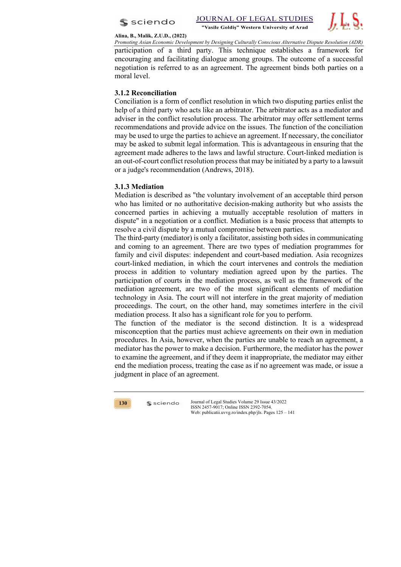



#### **Alina, B., Malik, Z.U.D., (2022)**

*Promoting Asian Economic Development by Designing Culturally Conscious Alternative Dispute Resolution (ADR)* participation of a third party. This technique establishes a framework for encouraging and facilitating dialogue among groups. The outcome of a successful negotiation is referred to as an agreement. The agreement binds both parties on a moral level.

# **3.1.2 Reconciliation**

Conciliation is a form of conflict resolution in which two disputing parties enlist the help of a third party who acts like an arbitrator. The arbitrator acts as a mediator and adviser in the conflict resolution process. The arbitrator may offer settlement terms recommendations and provide advice on the issues. The function of the conciliation may be used to urge the parties to achieve an agreement. If necessary, the conciliator may be asked to submit legal information. This is advantageous in ensuring that the agreement made adheres to the laws and lawful structure. Court-linked mediation is an out-of-court conflict resolution process that may be initiated by a party to a lawsuit or a judge's recommendation (Andrews, 2018).

## **3.1.3 Mediation**

Mediation is described as "the voluntary involvement of an acceptable third person who has limited or no authoritative decision-making authority but who assists the concerned parties in achieving a mutually acceptable resolution of matters in dispute" in a negotiation or a conflict. Mediation is a basic process that attempts to resolve a civil dispute by a mutual compromise between parties.

The third-party (mediator) is only a facilitator, assisting both sides in communicating and coming to an agreement. There are two types of mediation programmes for family and civil disputes: independent and court-based mediation. Asia recognizes court-linked mediation, in which the court intervenes and controls the mediation process in addition to voluntary mediation agreed upon by the parties. The participation of courts in the mediation process, as well as the framework of the mediation agreement, are two of the most significant elements of mediation technology in Asia. The court will not interfere in the great majority of mediation proceedings. The court, on the other hand, may sometimes interfere in the civil mediation process. It also has a significant role for you to perform.

The function of the mediator is the second distinction. It is a widespread misconception that the parties must achieve agreements on their own in mediation procedures. In Asia, however, when the parties are unable to reach an agreement, a mediator has the power to make a decision. Furthermore, the mediator has the power to examine the agreement, and if they deem it inappropriate, the mediator may either end the mediation process, treating the case as if no agreement was made, or issue a judgment in place of an agreement.

**130**

 $s$  sciendo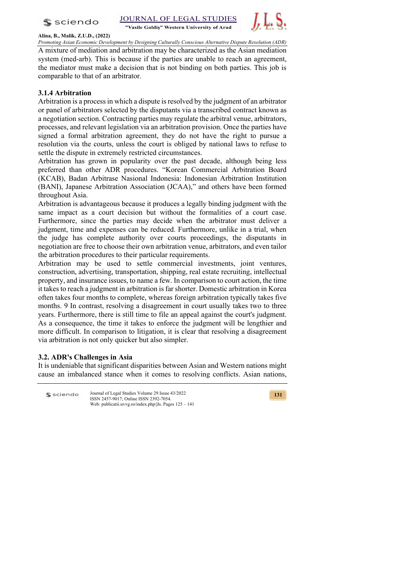$s$  sciendo







**Alina, B., Malik, Z.U.D., (2022)**

*Promoting Asian Economic Development by Designing Culturally Conscious Alternative Dispute Resolution (ADR)*  A mixture of mediation and arbitration may be characterized as the Asian mediation system (med-arb). This is because if the parties are unable to reach an agreement, the mediator must make a decision that is not binding on both parties. This job is comparable to that of an arbitrator.

# **3.1.4 Arbitration**

Arbitration is a process in which a dispute is resolved by the judgment of an arbitrator or panel of arbitrators selected by the disputants via a transcribed contract known as a negotiation section. Contracting parties may regulate the arbitral venue, arbitrators, processes, and relevant legislation via an arbitration provision. Once the parties have signed a formal arbitration agreement, they do not have the right to pursue a resolution via the courts, unless the court is obliged by national laws to refuse to settle the dispute in extremely restricted circumstances.

Arbitration has grown in popularity over the past decade, although being less preferred than other ADR procedures. "Korean Commercial Arbitration Board (KCAB), Badan Arbitrase Nasional Indonesia: Indonesian Arbitration Institution (BANI), Japanese Arbitration Association (JCAA)," and others have been formed throughout Asia.

Arbitration is advantageous because it produces a legally binding judgment with the same impact as a court decision but without the formalities of a court case. Furthermore, since the parties may decide when the arbitrator must deliver a judgment, time and expenses can be reduced. Furthermore, unlike in a trial, when the judge has complete authority over courts proceedings, the disputants in negotiation are free to choose their own arbitration venue, arbitrators, and even tailor the arbitration procedures to their particular requirements.

Arbitration may be used to settle commercial investments, joint ventures, construction, advertising, transportation, shipping, real estate recruiting, intellectual property, and insurance issues, to name a few. In comparison to court action, the time it takes to reach a judgment in arbitration is far shorter. Domestic arbitration in Korea often takes four months to complete, whereas foreign arbitration typically takes five months. 9 In contrast, resolving a disagreement in court usually takes two to three years. Furthermore, there is still time to file an appeal against the court's judgment. As a consequence, the time it takes to enforce the judgment will be lengthier and more difficult. In comparison to litigation, it is clear that resolving a disagreement via arbitration is not only quicker but also simpler.

## **3.2. ADR's Challenges in Asia**

It is undeniable that significant disparities between Asian and Western nations might cause an imbalanced stance when it comes to resolving conflicts. Asian nations,

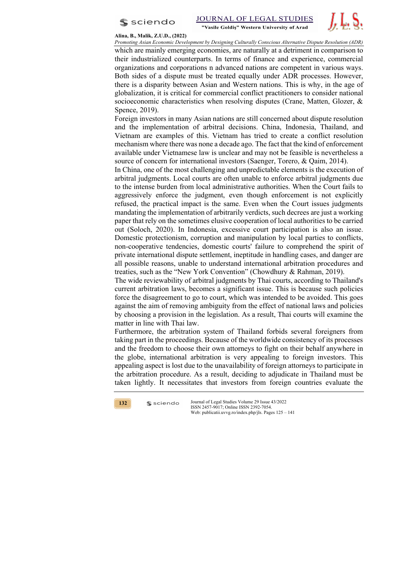

#### **Alina, B., Malik, Z.U.D., (2022)**

*Promoting Asian Economic Development by Designing Culturally Conscious Alternative Dispute Resolution (ADR)*

which are mainly emerging economies, are naturally at a detriment in comparison to their industrialized counterparts. In terms of finance and experience, commercial organizations and corporations n advanced nations are competent in various ways. Both sides of a dispute must be treated equally under ADR processes. However, there is a disparity between Asian and Western nations. This is why, in the age of globalization, it is critical for commercial conflict practitioners to consider national socioeconomic characteristics when resolving disputes (Crane, Matten, Glozer, & Spence, 2019).

Foreign investors in many Asian nations are still concerned about dispute resolution and the implementation of arbitral decisions. China, Indonesia, Thailand, and Vietnam are examples of this. Vietnam has tried to create a conflict resolution mechanism where there was none a decade ago. The fact that the kind of enforcement available under Vietnamese law is unclear and may not be feasible is nevertheless a source of concern for international investors (Saenger, Torero, & Qaim, 2014).

In China, one of the most challenging and unpredictable elements is the execution of arbitral judgments. Local courts are often unable to enforce arbitral judgments due to the intense burden from local administrative authorities. When the Court fails to aggressively enforce the judgment, even though enforcement is not explicitly refused, the practical impact is the same. Even when the Court issues judgments mandating the implementation of arbitrarily verdicts, such decrees are just a working paper that rely on the sometimes elusive cooperation of local authorities to be carried out (Soloch, 2020). In Indonesia, excessive court participation is also an issue. Domestic protectionism, corruption and manipulation by local parties to conflicts, non-cooperative tendencies, domestic courts' failure to comprehend the spirit of private international dispute settlement, ineptitude in handling cases, and danger are all possible reasons, unable to understand international arbitration procedures and treaties, such as the "New York Convention" (Chowdhury & Rahman, 2019).

The wide reviewability of arbitral judgments by Thai courts, according to Thailand's current arbitration laws, becomes a significant issue. This is because such policies force the disagreement to go to court, which was intended to be avoided. This goes against the aim of removing ambiguity from the effect of national laws and policies by choosing a provision in the legislation. As a result, Thai courts will examine the matter in line with Thai law.

Furthermore, the arbitration system of Thailand forbids several foreigners from taking part in the proceedings. Because of the worldwide consistency of its processes and the freedom to choose their own attorneys to fight on their behalf anywhere in the globe, international arbitration is very appealing to foreign investors. This appealing aspect is lost due to the unavailability of foreign attorneys to participate in the arbitration procedure. As a result, deciding to adjudicate in Thailand must be taken lightly. It necessitates that investors from foreign countries evaluate the

**132**

 $s$  sciendo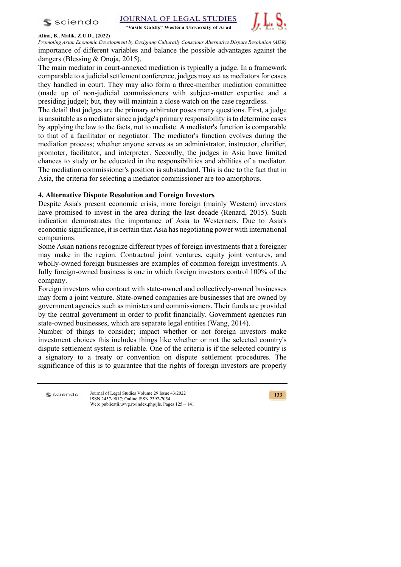$s$  sciendo





### **Alina, B., Malik, Z.U.D., (2022)**

*Promoting Asian Economic Development by Designing Culturally Conscious Alternative Dispute Resolution (ADR)*  importance of different variables and balance the possible advantages against the dangers (Blessing & Onoja, 2015).

The main mediator in court-annexed mediation is typically a judge. In a framework comparable to a judicial settlement conference, judges may act as mediators for cases they handled in court. They may also form a three-member mediation committee (made up of non-judicial commissioners with subject-matter expertise and a presiding judge); but, they will maintain a close watch on the case regardless.

The detail that judges are the primary arbitrator poses many questions. First, a judge is unsuitable as a mediator since a judge's primary responsibility is to determine cases by applying the law to the facts, not to mediate. A mediator's function is comparable to that of a facilitator or negotiator. The mediator's function evolves during the mediation process; whether anyone serves as an administrator, instructor, clarifier, promoter, facilitator, and interpreter. Secondly, the judges in Asia have limited chances to study or be educated in the responsibilities and abilities of a mediator. The mediation commissioner's position is substandard. This is due to the fact that in Asia, the criteria for selecting a mediator commissioner are too amorphous.

## **4. Alternative Dispute Resolution and Foreign Investors**

Despite Asia's present economic crisis, more foreign (mainly Western) investors have promised to invest in the area during the last decade (Renard, 2015). Such indication demonstrates the importance of Asia to Westerners. Due to Asia's economic significance, it is certain that Asia has negotiating power with international companions.

Some Asian nations recognize different types of foreign investments that a foreigner may make in the region. Contractual joint ventures, equity joint ventures, and wholly-owned foreign businesses are examples of common foreign investments. A fully foreign-owned business is one in which foreign investors control 100% of the company.

Foreign investors who contract with state-owned and collectively-owned businesses may form a joint venture. State-owned companies are businesses that are owned by government agencies such as ministers and commissioners. Their funds are provided by the central government in order to profit financially. Government agencies run state-owned businesses, which are separate legal entities (Wang, 2014).

Number of things to consider; impact whether or not foreign investors make investment choices this includes things like whether or not the selected country's dispute settlement system is reliable. One of the criteria is if the selected country is a signatory to a treaty or convention on dispute settlement procedures. The significance of this is to guarantee that the rights of foreign investors are properly

**S** sciendo

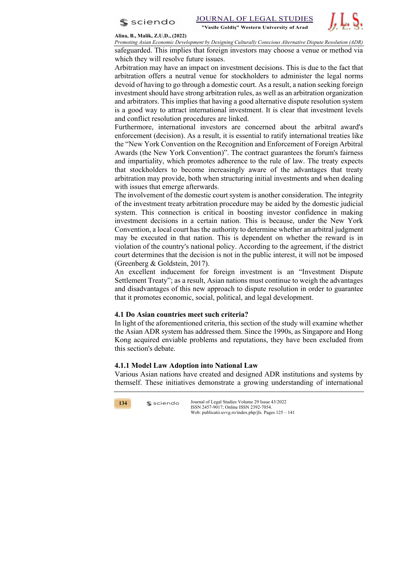



#### **Alina, B., Malik, Z.U.D., (2022)**

*Promoting Asian Economic Development by Designing Culturally Conscious Alternative Dispute Resolution (ADR)* safeguarded. This implies that foreign investors may choose a venue or method via which they will resolve future issues.

Arbitration may have an impact on investment decisions. This is due to the fact that arbitration offers a neutral venue for stockholders to administer the legal norms devoid of having to go through a domestic court. As a result, a nation seeking foreign investment should have strong arbitration rules, as well as an arbitration organization and arbitrators. This implies that having a good alternative dispute resolution system is a good way to attract international investment. It is clear that investment levels and conflict resolution procedures are linked.

Furthermore, international investors are concerned about the arbitral award's enforcement (decision). As a result, it is essential to ratify international treaties like the "New York Convention on the Recognition and Enforcement of Foreign Arbitral Awards (the New York Convention)". The contract guarantees the forum's fairness and impartiality, which promotes adherence to the rule of law. The treaty expects that stockholders to become increasingly aware of the advantages that treaty arbitration may provide, both when structuring initial investments and when dealing with issues that emerge afterwards.

The involvement of the domestic court system is another consideration. The integrity of the investment treaty arbitration procedure may be aided by the domestic judicial system. This connection is critical in boosting investor confidence in making investment decisions in a certain nation. This is because, under the New York Convention, a local court has the authority to determine whether an arbitral judgment may be executed in that nation. This is dependent on whether the reward is in violation of the country's national policy. According to the agreement, if the district court determines that the decision is not in the public interest, it will not be imposed (Greenberg & Goldstein, 2017).

An excellent inducement for foreign investment is an "Investment Dispute Settlement Treaty"; as a result, Asian nations must continue to weigh the advantages and disadvantages of this new approach to dispute resolution in order to guarantee that it promotes economic, social, political, and legal development.

### **4.1 Do Asian countries meet such criteria?**

In light of the aforementioned criteria, this section of the study will examine whether the Asian ADR system has addressed them. Since the 1990s, as Singapore and Hong Kong acquired enviable problems and reputations, they have been excluded from this section's debate.

### **4.1.1 Model Law Adoption into National Law**

 $s$  sciendo

Various Asian nations have created and designed ADR institutions and systems by themself. These initiatives demonstrate a growing understanding of international

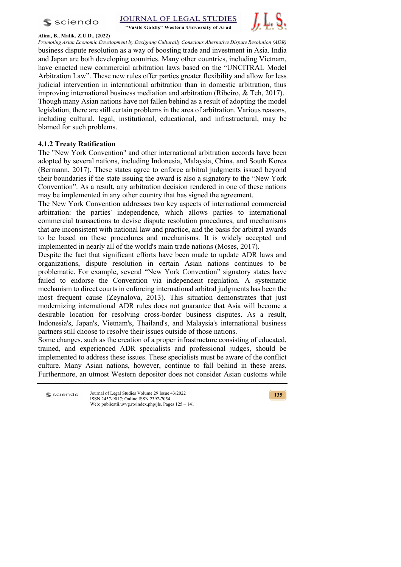

JOURNAL OF LEGAL STUDIES

"Vasile Goldis" Western University of Arad



**Alina, B., Malik, Z.U.D., (2022)** *Promoting Asian Economic Development by Designing Culturally Conscious Alternative Dispute Resolution (ADR)*  business dispute resolution as a way of boosting trade and investment in Asia. India and Japan are both developing countries. Many other countries, including Vietnam, have enacted new commercial arbitration laws based on the "UNCITRAL Model Arbitration Law". These new rules offer parties greater flexibility and allow for less judicial intervention in international arbitration than in domestic arbitration, thus improving international business mediation and arbitration (Ribeiro, & Teh, 2017). Though many Asian nations have not fallen behind as a result of adopting the model legislation, there are still certain problems in the area of arbitration. Various reasons, including cultural, legal, institutional, educational, and infrastructural, may be blamed for such problems.

# **4.1.2 Treaty Ratification**

The "New York Convention" and other international arbitration accords have been adopted by several nations, including Indonesia, Malaysia, China, and South Korea (Bermann, 2017). These states agree to enforce arbitral judgments issued beyond their boundaries if the state issuing the award is also a signatory to the "New York Convention". As a result, any arbitration decision rendered in one of these nations may be implemented in any other country that has signed the agreement.

The New York Convention addresses two key aspects of international commercial arbitration: the parties' independence, which allows parties to international commercial transactions to devise dispute resolution procedures, and mechanisms that are inconsistent with national law and practice, and the basis for arbitral awards to be based on these procedures and mechanisms. It is widely accepted and implemented in nearly all of the world's main trade nations (Moses, 2017).

Despite the fact that significant efforts have been made to update ADR laws and organizations, dispute resolution in certain Asian nations continues to be problematic. For example, several "New York Convention" signatory states have failed to endorse the Convention via independent regulation. A systematic mechanism to direct courts in enforcing international arbitral judgments has been the most frequent cause (Zeynalova, 2013). This situation demonstrates that just modernizing international ADR rules does not guarantee that Asia will become a desirable location for resolving cross-border business disputes. As a result, Indonesia's, Japan's, Vietnam's, Thailand's, and Malaysia's international business partners still choose to resolve their issues outside of those nations.

Some changes, such as the creation of a proper infrastructure consisting of educated, trained, and experienced ADR specialists and professional judges, should be implemented to address these issues. These specialists must be aware of the conflict culture. Many Asian nations, however, continue to fall behind in these areas. Furthermore, an utmost Western depositor does not consider Asian customs while

Journal of Legal Studies Volume 29 Issue 43/2022 **S** sciendo ISSN 2457-9017; Online ISSN 2392-7054. Web: publicatii.uvvg.ro/index.php/jls. Pages 125 – 141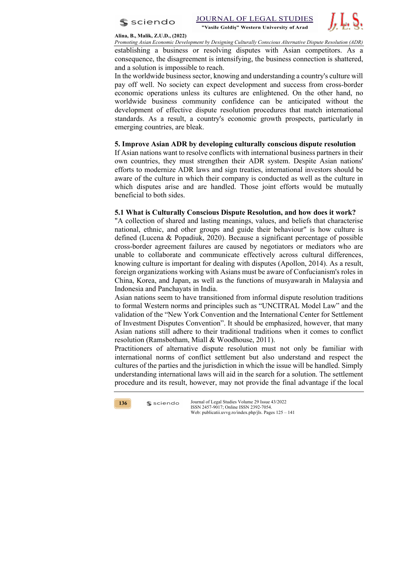



#### **Alina, B., Malik, Z.U.D., (2022)**

*Promoting Asian Economic Development by Designing Culturally Conscious Alternative Dispute Resolution (ADR)*

establishing a business or resolving disputes with Asian competitors. As a consequence, the disagreement is intensifying, the business connection is shattered, and a solution is impossible to reach.

In the worldwide business sector, knowing and understanding a country's culture will pay off well. No society can expect development and success from cross-border economic operations unless its cultures are enlightened. On the other hand, no worldwide business community confidence can be anticipated without the development of effective dispute resolution procedures that match international standards. As a result, a country's economic growth prospects, particularly in emerging countries, are bleak.

### **5. Improve Asian ADR by developing culturally conscious dispute resolution**

If Asian nations want to resolve conflicts with international business partners in their own countries, they must strengthen their ADR system. Despite Asian nations' efforts to modernize ADR laws and sign treaties, international investors should be aware of the culture in which their company is conducted as well as the culture in which disputes arise and are handled. Those joint efforts would be mutually beneficial to both sides.

### **5.1 What is Culturally Conscious Dispute Resolution, and how does it work?**

"A collection of shared and lasting meanings, values, and beliefs that characterise national, ethnic, and other groups and guide their behaviour" is how culture is defined (Lucena & Popadiuk, 2020). Because a significant percentage of possible cross-border agreement failures are caused by negotiators or mediators who are unable to collaborate and communicate effectively across cultural differences, knowing culture is important for dealing with disputes (Apollon, 2014). As a result, foreign organizations working with Asians must be aware of Confucianism's roles in China, Korea, and Japan, as well as the functions of musyawarah in Malaysia and Indonesia and Panchayats in India.

Asian nations seem to have transitioned from informal dispute resolution traditions to formal Western norms and principles such as "UNCITRAL Model Law" and the validation of the "New York Convention and the International Center for Settlement of Investment Disputes Convention". It should be emphasized, however, that many Asian nations still adhere to their traditional traditions when it comes to conflict resolution (Ramsbotham, Miall & Woodhouse, 2011).

Practitioners of alternative dispute resolution must not only be familiar with international norms of conflict settlement but also understand and respect the cultures of the parties and the jurisdiction in which the issue will be handled. Simply understanding international laws will aid in the search for a solution. The settlement procedure and its result, however, may not provide the final advantage if the local



 $s$  sciendo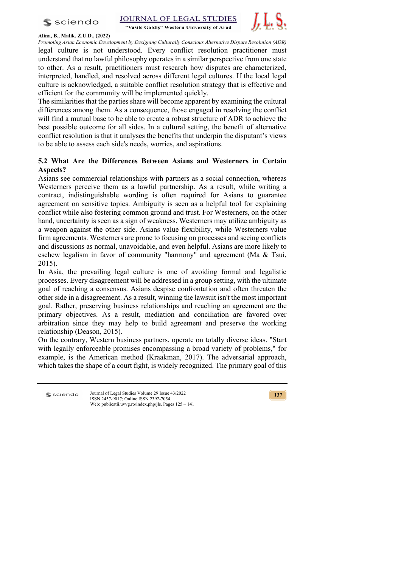



**Alina, B., Malik, Z.U.D., (2022)** *Promoting Asian Economic Development by Designing Culturally Conscious Alternative Dispute Resolution (ADR)* 

legal culture is not understood. Every conflict resolution practitioner must understand that no lawful philosophy operates in a similar perspective from one state to other. As a result, practitioners must research how disputes are characterized, interpreted, handled, and resolved across different legal cultures. If the local legal culture is acknowledged, a suitable conflict resolution strategy that is effective and efficient for the community will be implemented quickly.

The similarities that the parties share will become apparent by examining the cultural differences among them. As a consequence, those engaged in resolving the conflict will find a mutual base to be able to create a robust structure of ADR to achieve the best possible outcome for all sides. In a cultural setting, the benefit of alternative conflict resolution is that it analyses the benefits that underpin the disputant's views to be able to assess each side's needs, worries, and aspirations.

# **5.2 What Are the Differences Between Asians and Westerners in Certain Aspects?**

Asians see commercial relationships with partners as a social connection, whereas Westerners perceive them as a lawful partnership. As a result, while writing a contract, indistinguishable wording is often required for Asians to guarantee agreement on sensitive topics. Ambiguity is seen as a helpful tool for explaining conflict while also fostering common ground and trust. For Westerners, on the other hand, uncertainty is seen as a sign of weakness. Westerners may utilize ambiguity as a weapon against the other side. Asians value flexibility, while Westerners value firm agreements. Westerners are prone to focusing on processes and seeing conflicts and discussions as normal, unavoidable, and even helpful. Asians are more likely to eschew legalism in favor of community "harmony" and agreement (Ma & Tsui, 2015).

In Asia, the prevailing legal culture is one of avoiding formal and legalistic processes. Every disagreement will be addressed in a group setting, with the ultimate goal of reaching a consensus. Asians despise confrontation and often threaten the other side in a disagreement. As a result, winning the lawsuit isn't the most important goal. Rather, preserving business relationships and reaching an agreement are the primary objectives. As a result, mediation and conciliation are favored over arbitration since they may help to build agreement and preserve the working relationship (Deason, 2015).

On the contrary, Western business partners, operate on totally diverse ideas. "Start with legally enforceable promises encompassing a broad variety of problems," for example, is the American method (Kraakman, 2017). The adversarial approach, which takes the shape of a court fight, is widely recognized. The primary goal of this

Journal of Legal Studies Volume 29 Issue 43/2022 **S** sciendo ISSN 2457-9017; Online ISSN 2392-7054. Web: publicatii.uvvg.ro/index.php/jls. Pages 125 – 141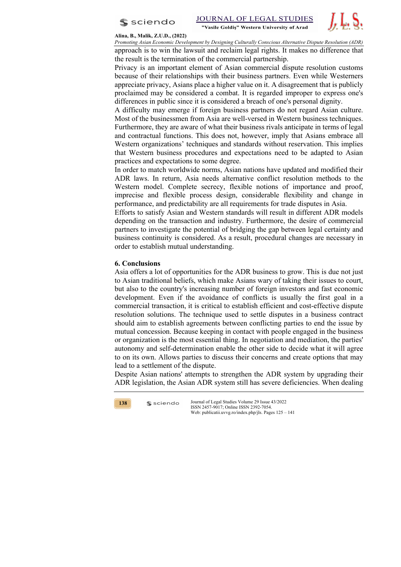



#### **Alina, B., Malik, Z.U.D., (2022)**

*Promoting Asian Economic Development by Designing Culturally Conscious Alternative Dispute Resolution (ADR)* approach is to win the lawsuit and reclaim legal rights. It makes no difference that the result is the termination of the commercial partnership.

Privacy is an important element of Asian commercial dispute resolution customs because of their relationships with their business partners. Even while Westerners appreciate privacy, Asians place a higher value on it. A disagreement that is publicly proclaimed may be considered a combat. It is regarded improper to express one's differences in public since it is considered a breach of one's personal dignity.

A difficulty may emerge if foreign business partners do not regard Asian culture. Most of the businessmen from Asia are well-versed in Western business techniques. Furthermore, they are aware of what their business rivals anticipate in terms of legal and contractual functions. This does not, however, imply that Asians embrace all Western organizations' techniques and standards without reservation. This implies that Western business procedures and expectations need to be adapted to Asian practices and expectations to some degree.

In order to match worldwide norms, Asian nations have updated and modified their ADR laws. In return, Asia needs alternative conflict resolution methods to the Western model. Complete secrecy, flexible notions of importance and proof, imprecise and flexible process design, considerable flexibility and change in performance, and predictability are all requirements for trade disputes in Asia.

Efforts to satisfy Asian and Western standards will result in different ADR models depending on the transaction and industry. Furthermore, the desire of commercial partners to investigate the potential of bridging the gap between legal certainty and business continuity is considered. As a result, procedural changes are necessary in order to establish mutual understanding.

### **6. Conclusions**

Asia offers a lot of opportunities for the ADR business to grow. This is due not just to Asian traditional beliefs, which make Asians wary of taking their issues to court, but also to the country's increasing number of foreign investors and fast economic development. Even if the avoidance of conflicts is usually the first goal in a commercial transaction, it is critical to establish efficient and cost-effective dispute resolution solutions. The technique used to settle disputes in a business contract should aim to establish agreements between conflicting parties to end the issue by mutual concession. Because keeping in contact with people engaged in the business or organization is the most essential thing. In negotiation and mediation, the parties' autonomy and self-determination enable the other side to decide what it will agree to on its own. Allows parties to discuss their concerns and create options that may lead to a settlement of the dispute.

Despite Asian nations' attempts to strengthen the ADR system by upgrading their ADR legislation, the Asian ADR system still has severe deficiencies. When dealing



 $s$  sciendo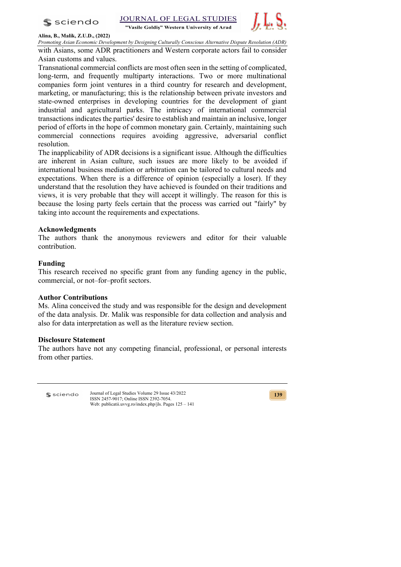$s$  sciendo



### **Alina, B., Malik, Z.U.D., (2022)**

*Promoting Asian Economic Development by Designing Culturally Conscious Alternative Dispute Resolution (ADR)* 

with Asians, some ADR practitioners and Western corporate actors fail to consider Asian customs and values.

Transnational commercial conflicts are most often seen in the setting of complicated, long-term, and frequently multiparty interactions. Two or more multinational companies form joint ventures in a third country for research and development, marketing, or manufacturing; this is the relationship between private investors and state-owned enterprises in developing countries for the development of giant industrial and agricultural parks. The intricacy of international commercial transactions indicates the parties' desire to establish and maintain an inclusive, longer period of efforts in the hope of common monetary gain. Certainly, maintaining such commercial connections requires avoiding aggressive, adversarial conflict resolution.

The inapplicability of ADR decisions is a significant issue. Although the difficulties are inherent in Asian culture, such issues are more likely to be avoided if international business mediation or arbitration can be tailored to cultural needs and expectations. When there is a difference of opinion (especially a loser). If they understand that the resolution they have achieved is founded on their traditions and views, it is very probable that they will accept it willingly. The reason for this is because the losing party feels certain that the process was carried out "fairly" by taking into account the requirements and expectations.

## **Acknowledgments**

The authors thank the anonymous reviewers and editor for their valuable contribution.

### **Funding**

This research received no specific grant from any funding agency in the public, commercial, or not–for–profit sectors.

## **Author Contributions**

Ms. Alina conceived the study and was responsible for the design and development of the data analysis. Dr. Malik was responsible for data collection and analysis and also for data interpretation as well as the literature review section.

## **Disclosure Statement**

The authors have not any competing financial, professional, or personal interests from other parties.

**S** sciendo

Journal of Legal Studies Volume 29 Issue 43/2022 ISSN 2457-9017; Online ISSN 2392-7054. Web: publicatii.uvvg.ro/index.php/jls. Pages 125 – 141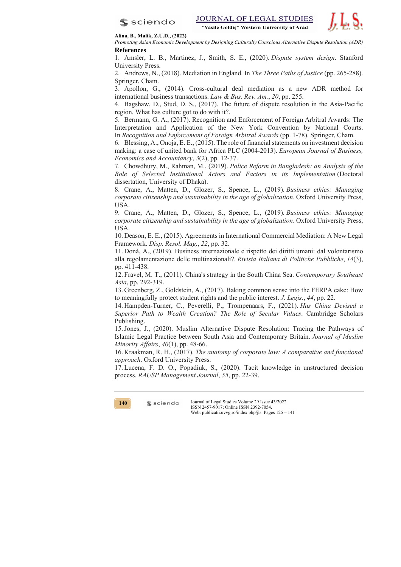



**Alina, B., Malik, Z.U.D., (2022)**

*Promoting Asian Economic Development by Designing Culturally Conscious Alternative Dispute Resolution (ADR)* **References**

1. Amsler, L. B., Martinez, J., Smith, S. E., (2020). *Dispute system design*. Stanford University Press.

2. Andrews, N., (2018). Mediation in England. In *The Three Paths of Justice* (pp. 265-288). Springer, Cham.

3. Apollon, G., (2014). Cross-cultural deal mediation as a new ADR method for international business transactions. *Law & Bus. Rev. Am.*, *20*, pp. 255.

4. Bagshaw, D., Stud, D. S., (2017). The future of dispute resolution in the Asia-Pacific region. What has culture got to do with it?.

5. Bermann, G. A., (2017). Recognition and Enforcement of Foreign Arbitral Awards: The Interpretation and Application of the New York Convention by National Courts. In *Recognition and Enforcement of Foreign Arbitral Awards* (pp. 1-78). Springer, Cham.

6. Blessing, A., Onoja, E. E., (2015). The role of financial statements on investment decision making: a case of united bank for Africa PLC (2004-2013). *European Journal of Business, Economics and Accountancy*, *3*(2), pp. 12-37.

7. Chowdhury, M., Rahman, M., (2019). *Police Reform in Bangladesh: an Analysis of the Role of Selected Institutional Actors and Factors in its Implementation* (Doctoral dissertation, University of Dhaka).

8. Crane, A., Matten, D., Glozer, S., Spence, L., (2019). *Business ethics: Managing corporate citizenship and sustainability in the age of globalization*. Oxford University Press, USA.

9. Crane, A., Matten, D., Glozer, S., Spence, L., (2019). *Business ethics: Managing corporate citizenship and sustainability in the age of globalization*. Oxford University Press, USA.

10. Deason, E. E., (2015). Agreements in International Commercial Mediation: A New Legal Framework. *Disp. Resol. Mag.*, *22*, pp. 32.

11. Donà, A., (2019). Business internazionale e rispetto dei diritti umani: dal volontarismo alla regolamentazione delle multinazionali?. *Rivista Italiana di Politiche Pubbliche*, *14*(3), pp. 411-438.

12. Fravel, M. T., (2011). China's strategy in the South China Sea. *Contemporary Southeast Asia*, pp. 292-319.

13. Greenberg, Z., Goldstein, A., (2017). Baking common sense into the FERPA cake: How to meaningfully protect student rights and the public interest. *J. Legis.*, *44*, pp. 22.

14. Hampden-Turner, C., Peverelli, P., Trompenaars, F., (2021). *Has China Devised a Superior Path to Wealth Creation? The Role of Secular Values*. Cambridge Scholars Publishing.

15.Jones, J., (2020). Muslim Alternative Dispute Resolution: Tracing the Pathways of Islamic Legal Practice between South Asia and Contemporary Britain. *Journal of Muslim Minority Affairs*, *40*(1), pp. 48-66.

16. Kraakman, R. H., (2017). *The anatomy of corporate law: A comparative and functional approach*. Oxford University Press.

17. Lucena, F. D. O., Popadiuk, S., (2020). Tacit knowledge in unstructured decision process. *RAUSP Management Journal*, *55*, pp. 22-39.



 $s$  sciendo